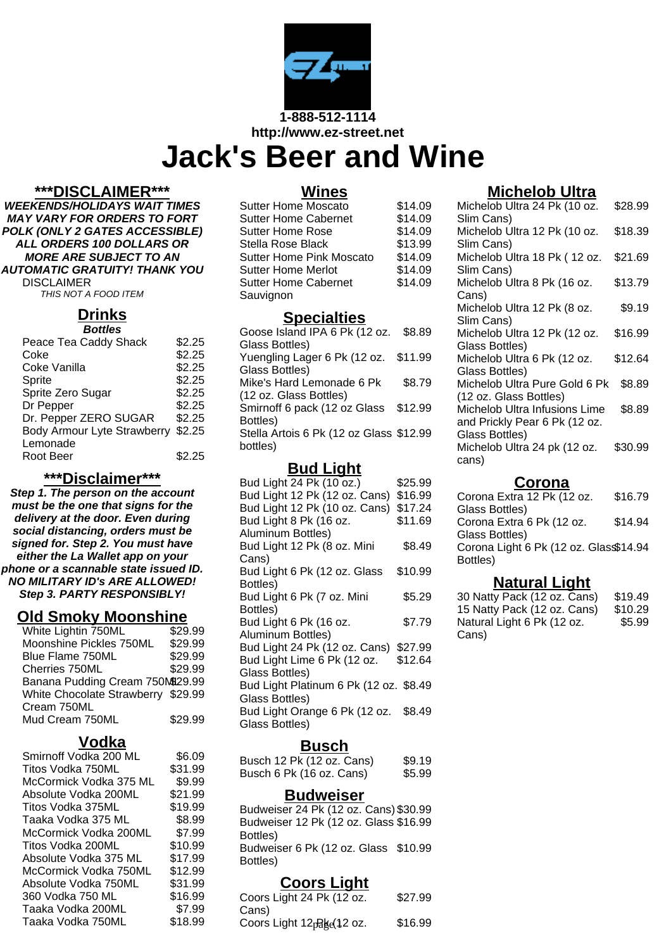

**http://www.ez-street.net**

# **Jack's Beer and Wine**

#### **\*\*\*DISCLAIMER\*\*\***

**WEEKENDS/HOLIDAYS WAIT TIMES MAY VARY FOR ORDERS TO FORT POLK (ONLY 2 GATES ACCESSIBLE) ALL ORDERS 100 DOLLARS OR MORE ARE SUBJECT TO AN AUTOMATIC GRATUITY! THANK YOU** DISCLAIMER

THIS NOT A FOOD ITEM

# **Drinks**

| <b>Bottles</b>                     |        |
|------------------------------------|--------|
| Peace Tea Caddy Shack              | \$2.25 |
| Coke                               | \$2.25 |
| Coke Vanilla                       | \$2.25 |
| Sprite                             | \$2.25 |
| Sprite Zero Sugar                  | \$2.25 |
| Dr Pepper                          | \$2.25 |
| Dr. Pepper ZERO SUGAR              | \$2.25 |
| <b>Body Armour Lyte Strawberry</b> | \$2.25 |
| Lemonade                           |        |
| Root Beer                          | \$2.25 |

#### **\*\*\*Disclaimer\*\*\***

**Step 1. The person on the account must be the one that signs for the delivery at the door. Even during social distancing, orders must be signed for. Step 2. You must have either the La Wallet app on your phone or a scannable state issued ID. NO MILITARY ID's ARE ALLOWED! Step 3. PARTY RESPONSIBLY!**

#### **Old Smoky Moonshine**

| White Lightin 750ML                | \$29.99 |
|------------------------------------|---------|
| Moonshine Pickles 750ML            | \$29.99 |
| Blue Flame 750ML                   | \$29.99 |
| Cherries 750ML                     | \$29.99 |
| Banana Pudding Cream 750M929.99    |         |
| White Chocolate Strawberry \$29.99 |         |
| Cream 750ML                        |         |
| Mud Cream 750ML                    | \$29.99 |

# **Vodka**

| Smirnoff Vodka 200 ML  | \$6.09  |
|------------------------|---------|
| Titos Vodka 750ML      | \$31.99 |
| McCormick Vodka 375 ML | \$9.99  |
| Absolute Vodka 200ML   | \$21.99 |
| Titos Vodka 375ML      | \$19.99 |
| Taaka Vodka 375 ML     | \$8.99  |
| McCormick Vodka 200ML  | \$7.99  |
| Titos Vodka 200ML      | \$10.99 |
| Absolute Vodka 375 ML  | \$17.99 |
| McCormick Vodka 750ML  | \$12.99 |
| Absolute Vodka 750ML   | \$31.99 |
| 360 Vodka 750 ML       | \$16.99 |
| Taaka Vodka 200ML      | \$7.99  |
| Taaka Vodka 750ML      | \$18.99 |

#### **Wines**

| Sutter Home Moscato             | \$14.09 |
|---------------------------------|---------|
| <b>Sutter Home Cabernet</b>     | \$14.09 |
| <b>Sutter Home Rose</b>         | \$14.09 |
| Stella Rose Black               | \$13.99 |
| <b>Sutter Home Pink Moscato</b> | \$14.09 |
| <b>Sutter Home Merlot</b>       | \$14.09 |
| <b>Sutter Home Cabernet</b>     | \$14.09 |
| Sauvignon                       |         |

#### **Specialties**

| Goose Island IPA 6 Pk (12 oz. \$8.89    |         |
|-----------------------------------------|---------|
| Glass Bottles)                          |         |
| Yuengling Lager 6 Pk (12 oz. \$11.99    |         |
| Glass Bottles)                          |         |
| Mike's Hard Lemonade 6 Pk               | \$8.79  |
| (12 oz. Glass Bottles)                  |         |
| Smirnoff 6 pack (12 oz Glass            | \$12.99 |
| Bottles)                                |         |
| Stella Artois 6 Pk (12 oz Glass \$12.99 |         |
| bottles)                                |         |
|                                         |         |

#### **Bud Light**

| Bud Light 24 Pk (10 oz.)               | \$25.99 |
|----------------------------------------|---------|
| Bud Light 12 Pk (12 oz. Cans)          | \$16.99 |
| Bud Light 12 Pk (10 oz. Cans)          | \$17.24 |
| Bud Light 8 Pk (16 oz.                 | \$11.69 |
| Aluminum Bottles)                      |         |
| Bud Light 12 Pk (8 oz. Mini            | \$8.49  |
| Cans)                                  |         |
| Bud Light 6 Pk (12 oz. Glass           | \$10.99 |
| Bottles)                               |         |
| Bud Light 6 Pk (7 oz. Mini             | \$5.29  |
| Bottles)                               |         |
| Bud Light 6 Pk (16 oz.                 | \$7.79  |
| Aluminum Bottles)                      |         |
| Bud Light 24 Pk (12 oz. Cans)          | \$27.99 |
| Bud Light Lime 6 Pk (12 oz.            | \$12.64 |
| Glass Bottles)                         |         |
| Bud Light Platinum 6 Pk (12 oz. \$8.49 |         |
| Glass Bottles)                         |         |
| Bud Light Orange 6 Pk (12 oz.          | \$8.49  |
| Glass Bottles)                         |         |

## **Busch**

| Busch 12 Pk (12 oz. Cans) | \$9.19 |
|---------------------------|--------|
| Busch 6 Pk (16 oz. Cans)  | \$5.99 |

#### **Budweiser**

Budweiser 24 Pk (12 oz. Cans) \$30.99 Budweiser 12 Pk (12 oz. Glass \$16.99 Bottles) Budweiser 6 Pk (12 oz. Glass \$10.99 Bottles)

## **Coors Light**

| Coors Light 24 Pk (12 oz.              | \$27.99 |
|----------------------------------------|---------|
| Cans)                                  |         |
| Coors Light 12 <sub>pake</sub> (12 oz. | \$16.99 |

# **Michelob Ultra**

| Michelob Ultra 24 Pk (10 oz.  | \$28.99 |
|-------------------------------|---------|
| Slim Cans)                    |         |
| Michelob Ultra 12 Pk (10 oz.  | \$18.39 |
| Slim Cans)                    |         |
| Michelob Ultra 18 Pk (12 oz.  | \$21.69 |
| Slim Cans)                    |         |
| Michelob Ultra 8 Pk (16 oz.   | \$13.79 |
| Cans)                         |         |
| Michelob Ultra 12 Pk (8 oz.   | \$9.19  |
| Slim Cans)                    |         |
| Michelob Ultra 12 Pk (12 oz.  | \$16.99 |
| Glass Bottles)                |         |
| Michelob Ultra 6 Pk (12 oz.   | \$12.64 |
| Glass Bottles)                |         |
| Michelob Ultra Pure Gold 6 Pk | \$8.89  |
| (12 oz. Glass Bottles)        |         |
| Michelob Ultra Infusions Lime | \$8.89  |
| and Prickly Pear 6 Pk (12 oz. |         |
| Glass Bottles)                |         |
| Michelob Ultra 24 pk (12 oz.  | \$30.99 |
| cans)                         |         |
|                               |         |

#### **Corona**

| Corona Extra 12 Pk (12 oz.            | \$16.79 |
|---------------------------------------|---------|
| Glass Bottles)                        |         |
| Corona Extra 6 Pk (12 oz.             | \$14.94 |
| Glass Bottles)                        |         |
| Corona Light 6 Pk (12 oz. Glas\$14.94 |         |
| Bottles)                              |         |

#### **Natural Light**

| 30 Natty Pack (12 oz. Cans) | \$19.49 |
|-----------------------------|---------|
| 15 Natty Pack (12 oz. Cans) | \$10.29 |
| Natural Light 6 Pk (12 oz.  | \$5.99  |
| Cans)                       |         |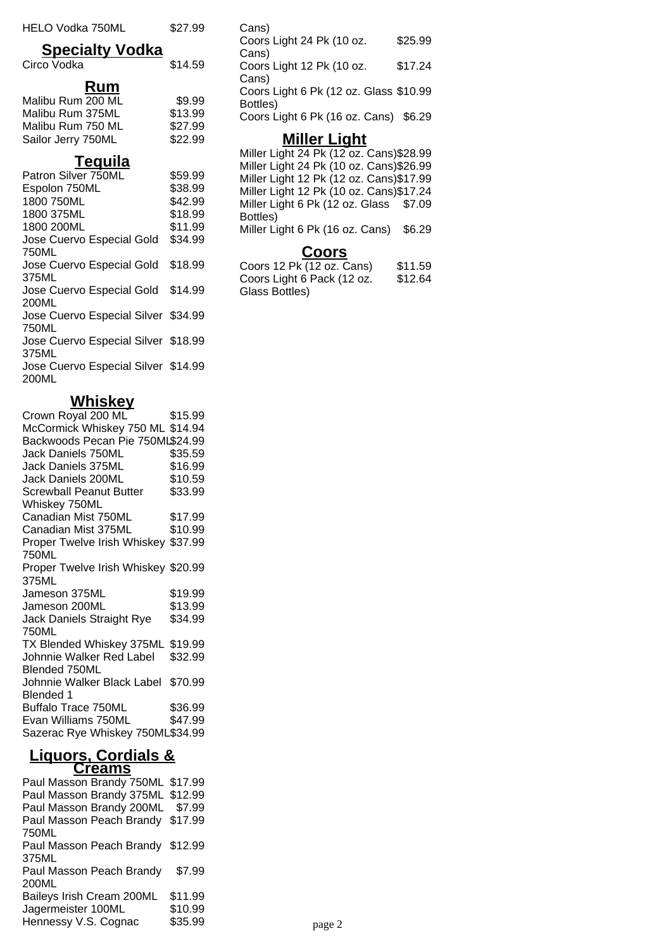| HELO Vodka 750ML                             | \$27.99 |
|----------------------------------------------|---------|
| <b>Specialty Vodka</b>                       |         |
| Circo Vodka                                  | \$14.59 |
| <u>Rum</u>                                   |         |
| Malibu Rum 200 ML                            | \$9.99  |
| Malibu Rum 375ML                             | \$13.99 |
| Malibu Rum 750 ML                            | \$27.99 |
| Sailor Jerry 750ML                           | \$22.99 |
| <u>Tequila</u>                               |         |
| Patron Silver 750ML                          | \$59.99 |
| Espolon 750ML                                | \$38.99 |
| 1800 750ML                                   | \$42.99 |
| 1800 375ML                                   | \$18.99 |
| 1800 200ML                                   | \$11.99 |
| Jose Cuervo Especial Gold                    | \$34.99 |
| 750ML                                        |         |
| Jose Cuervo Especial Gold                    | \$18.99 |
| 375ML                                        |         |
| Jose Cuervo Especial Gold<br>200ML           | \$14.99 |
|                                              |         |
| Jose Cuervo Especial Silver \$34.99<br>750ML |         |
| Jose Cuervo Especial Silver \$18.99          |         |
| 375ML                                        |         |
| Jose Cuervo Especial Silver \$14.99          |         |

200ML

# **Whiskey**

| <u>.</u>                            |                             |
|-------------------------------------|-----------------------------|
| Crown Royal 200 ML                  | \$15.99                     |
| McCormick Whiskey 750 ML \$14.94    |                             |
| Backwoods Pecan Pie 750ML\$24.99    |                             |
| Jack Daniels 750ML                  |                             |
| Jack Daniels 375ML                  | \$პ <b>ɔ.</b> აა<br>\$16.99 |
| Jack Daniels 200ML                  | \$10.59                     |
| Screwball Peanut Butter             | \$33.99                     |
| Whiskey 750ML                       |                             |
| Canadian Mist 750ML                 | \$17.99                     |
| Canadian Mist 375ML                 | \$10.99                     |
| Proper Twelve Irish Whiskey \$37.99 |                             |
| 750ML                               |                             |
| Proper Twelve Irish Whiskey \$20.99 |                             |
| 375ML                               |                             |
| Jameson 375ML                       | \$19.99                     |
| Jameson 200ML                       | \$13.99                     |
| Jack Daniels Straight Rye           | \$34.99                     |
| 750ML                               |                             |
| TX Blended Whiskey 375ML \$19.99    |                             |
| Johnnie Walker Red Label \$32.99    |                             |
| Blended 750ML                       |                             |
| Johnnie Walker Black Label \$70.99  |                             |
| Blended 1                           |                             |
| <b>Buffalo Trace 750ML</b>          | \$36.99                     |
| Evan Williams 750ML                 | \$47.99                     |
| Sazerac Rye Whiskey 750ML\$34.99    |                             |

#### **Liquors, Cordials & Creams**

| $\mathbf{v}$ . vu.               |         |
|----------------------------------|---------|
| Paul Masson Brandy 750ML \$17.99 |         |
| Paul Masson Brandy 375ML \$12.99 |         |
| Paul Masson Brandy 200ML \$7.99  |         |
| Paul Masson Peach Brandy \$17.99 |         |
| 750ML                            |         |
| Paul Masson Peach Brandy \$12.99 |         |
| 375ML                            |         |
| Paul Masson Peach Brandy         | \$7.99  |
| 200ML                            |         |
| Baileys Irish Cream 200ML        | \$11.99 |
| Jagermeister 100ML               | \$10.99 |
| Hennessy V.S. Cognac             | \$35.99 |
|                                  |         |

Cans) Coors Light 24 Pk (10 oz. Cans) \$25.99 Coors Light 12 Pk (10 oz. Cans) \$17.24 Coors Light 6 Pk (12 oz. Glass \$10.99 Bottles) Coors Light 6 Pk (16 oz. Cans) \$6.29

## **Miller Light**

Miller Light 24 Pk (12 oz. Cans)\$28.99 Miller Light 24 Pk (10 oz. Cans)\$26.99 Miller Light 12 Pk (12 oz. Cans)\$17.99 Miller Light 12 Pk (10 oz. Cans)\$17.24 Miller Light 6 Pk (12 oz. Glass \$7.09 Bottles) Miller Light 6 Pk (16 oz. Cans) \$6.29

#### **Coors**

Coors 12 Pk (12 oz. Cans) \$11.59 Coors Light 6 Pack (12 oz. Glass Bottles) \$12.64